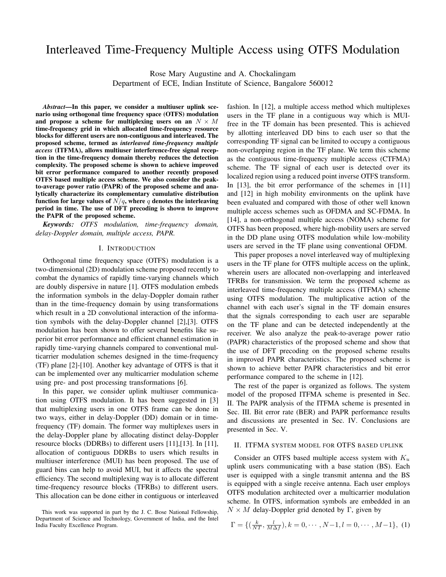# Interleaved Time-Frequency Multiple Access using OTFS Modulation

Rose Mary Augustine and A. Chockalingam

Department of ECE, Indian Institute of Science, Bangalore 560012

*Abstract*—In this paper, we consider a multiuser uplink scenario using orthogonal time frequency space (OTFS) modulation and propose a scheme for multiplexing users on an  $N \times M$ time-frequency grid in which allocated time-frequency resource blocks for different users are non-contiguous and interleaved. The proposed scheme, termed as *interleaved time-frequency multiple access* (ITFMA), allows multiuser interference-free signal reception in the time-frequency domain thereby reduces the detection complexity. The proposed scheme is shown to achieve improved bit error performance compared to another recently proposed OTFS based multiple access scheme. We also consider the peakto-average power ratio (PAPR) of the proposed scheme and analytically characterize its complementary cumulative distribution function for large values of *N/q*, where *q* denotes the interleaving period in time. The use of DFT precoding is shown to improve the PAPR of the proposed scheme.

*Keywords: OTFS modulation, time-frequency domain, delay-Doppler domain, multiple access, PAPR.*

# I. INTRODUCTION

Orthogonal time frequency space (OTFS) modulation is a two-dimensional (2D) modulation scheme proposed recently to combat the dynamics of rapidly time-varying channels which are doubly dispersive in nature [1]. OTFS modulation embeds the information symbols in the delay-Doppler domain rather than in the time-frequency domain by using transformations which result in a 2D convolutional interaction of the information symbols with the delay-Doppler channel [2],[3]. OTFS modulation has been shown to offer several benefits like superior bit error performance and efficient channel estimation in rapidly time-varying channels compared to conventional multicarrier modulation schemes designed in the time-frequency (TF) plane [2]-[10]. Another key advantage of OTFS is that it can be implemented over any multicarrier modulation scheme using pre- and post processing transformations [6].

In this paper, we consider uplink multiuser communication using OTFS modulation. It has been suggested in [3] that multiplexing users in one OTFS frame can be done in two ways, either in delay-Doppler (DD) domain or in timefrequency (TF) domain. The former way multiplexes users in the delay-Doppler plane by allocating distinct delay-Doppler resource blocks (DDRBs) to different users [11],[13]. In [11], allocation of contiguous DDRBs to users which results in multiuser interference (MUI) has been proposed. The use of guard bins can help to avoid MUI, but it affects the spectral efficiency. The second multiplexing way is to allocate different time-frequency resource blocks (TFRBs) to different users. This allocation can be done either in contiguous or interleaved fashion. In [12], a multiple access method which multiplexes users in the TF plane in a contiguous way which is MUIfree in the TF domain has been presented. This is achieved by allotting interleaved DD bins to each user so that the corresponding TF signal can be limited to occupy a contiguous non-overlapping region in the TF plane. We term this scheme as the contiguous time-frequency multiple access (CTFMA) scheme. The TF signal of each user is detected over its localized region using a reduced point inverse OTFS transform. In [13], the bit error performance of the schemes in [11] and [12] in high mobility environments on the uplink have been evaluated and compared with those of other well known multiple access schemes such as OFDMA and SC-FDMA. In [14], a non-orthogonal multiple access (NOMA) scheme for OTFS has been proposed, where high-mobility users are served in the DD plane using OTFS modulation while low-mobility users are served in the TF plane using conventional OFDM.

This paper proposes a novel interleaved way of multiplexing users in the TF plane for OTFS multiple access on the uplink, wherein users are allocated non-overlapping and interleaved TFRBs for transmission. We term the proposed scheme as interleaved time-frequency multiple access (ITFMA) scheme using OTFS modulation. The multiplicative action of the channel with each user's signal in the TF domain ensures that the signals corresponding to each user are separable on the TF plane and can be detected independently at the receiver. We also analyze the peak-to-average power ratio (PAPR) characteristics of the proposed scheme and show that the use of DFT precoding on the proposed scheme results in improved PAPR characteristics. The proposed scheme is shown to achieve better PAPR characteristics and bit error performance compared to the scheme in [12].

The rest of the paper is organized as follows. The system model of the proposed ITFMA scheme is presented in Sec. II. The PAPR analysis of the ITFMA scheme is presented in Sec. III. Bit error rate (BER) and PAPR performance results and discussions are presented in Sec. IV. Conclusions are presented in Sec. V.

## II. ITFMA SYSTEM MODEL FOR OTFS BASED UPLINK

Consider an OTFS based multiple access system with *K<sup>u</sup>* uplink users communicating with a base station (BS). Each user is equipped with a single transmit antenna and the BS is equipped with a single receive antenna. Each user employs OTFS modulation architected over a multicarrier modulation scheme. In OTFS, information symbols are embedded in an  $N \times M$  delay-Doppler grid denoted by Γ, given by

$$
\Gamma = \{ (\frac{k}{NT}, \frac{l}{MAf}), k = 0, \cdots, N-1, l = 0, \cdots, M-1 \}, (1)
$$

This work was supported in part by the J. C. Bose National Fellowship, Department of Science and Technology, Government of India, and the Intel India Faculty Excellence Program.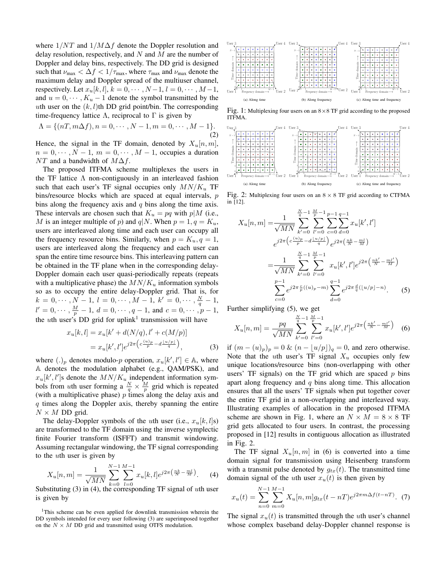where 1*/NT* and 1*/M*∆*f* denote the Doppler resolution and delay resolution, respectively, and *N* and *M* are the number of Doppler and delay bins, respectively. The DD grid is designed such that  $\nu_{\text{max}} < \Delta f < 1/\tau_{\text{max}}$ , where  $\tau_{\text{max}}$  and  $\nu_{\text{max}}$  denote the maximum delay and Doppler spread of the multiuser channel, respectively. Let  $x_u[k, l], k = 0, \dots, N-1, l = 0, \dots, M-1$ , and  $u = 0, \dots, K_u - 1$  denote the symbol transmitted by the *u*th user on the  $(k, l)$ th DD grid point/bin. The corresponding time-frequency lattice  $\Lambda$ , reciprocal to  $\Gamma$  is given by

$$
\Lambda = \{ (nT, m\Delta f), n = 0, \cdots, N - 1, m = 0, \cdots, M - 1 \}.
$$
\n(2)

Hence, the signal in the TF domain, denoted by  $X_u[n,m]$ ,  $n = 0, \dots, N - 1, m = 0, \dots, M - 1$ , occupies a duration *NT* and a bandwidth of *M*∆*f*.

The proposed ITFMA scheme multiplexes the users in the TF lattice  $\Lambda$  non-contiguously in an interleaved fashion such that each user's TF signal occupies only *MN/K<sup>u</sup>* TF bins/resource blocks which are spaced at equal intervals, *p* bins along the frequency axis and *q* bins along the time axis. These intervals are chosen such that  $K_u = pq$  with  $p/M$  (i.e., *M* is an integer multiple of *p*) and *q|N*. When  $p = 1, q = K_u$ , users are interleaved along time and each user can occupy all the frequency resource bins. Similarly, when  $p = K_u$ ,  $q = 1$ , users are interleaved along the frequency and each user can span the entire time resource bins. This interleaving pattern can be obtained in the TF plane when in the corresponding delay-Doppler domain each user quasi-periodically repeats (repeats with a multiplicative phase) the *MN/K<sup>u</sup>* information symbols so as to occupy the entire delay-Doppler grid. That is, for  $k = 0, \cdots, N - 1, l = 0, \cdots, M - 1, k' = 0, \cdots, \frac{N}{q} - 1,$  $l' = 0, \dots, \frac{M}{p} - 1, d = 0, \dots, q - 1,$  and  $c = 0, \dots, p - 1$ , the *u*th user's DD grid for uplink<sup>1</sup> transmission will have

$$
x_u[k, l] = x_u[k' + d(N/q), l' + c(M/p)]
$$
  
= 
$$
x_u[k', l']e^{j2\pi \left(c\frac{(u)p}{p} - d\frac{\lfloor u/p \rfloor}{q}\right)},
$$
 (3)

where  $(.)_p$  denotes modulo-*p* operation,  $x_u[k', l'] \in A$ , where A denotes the modulation alphabet (e.g., QAM/PSK), and  $x_u[k', l']$ s denote the  $MN/K_u$  independent information symbols from *u*th user forming a  $\frac{N}{q} \times \frac{M}{p}$  grid which is repeated (with a multiplicative phase)  $p$  times along the delay axis and *q* times along the Doppler axis, thereby spanning the entire  $N \times M$  DD grid.

The delay-Doppler symbols of the *u*th user (i.e.,  $x_u[k, l]$ s) are transformed to the TF domain using the inverse symplectic finite Fourier transform (ISFFT) and transmit windowing. Assuming rectangular windowing, the TF signal corresponding to the *u*th user is given by

$$
X_u[n,m] = \frac{1}{\sqrt{MN}} \sum_{k=0}^{N-1} \sum_{l=0}^{M-1} x_u[k,l] e^{j2\pi \left(\frac{nk}{N} - \frac{ml}{M}\right)}.
$$
 (4)

Substituting (3) in (4), the corresponding TF signal of *uth* user is given by

<sup>1</sup>This scheme can be even applied for downlink transmission wherein the DD symbols intended for every user following (3) are superimposed together on the  $N \times M$  DD grid and transmitted using OTFS modulation.



Fig. 1: Multiplexing four users on an <sup>8</sup>*×*<sup>8</sup> TF grid according to the proposed ITFMA.



Fig. 2: Multiplexing four users on an  $8 \times 8$  TF grid according to CTFMA in [12].

$$
X_u[n,m] = \frac{1}{\sqrt{MN}} \sum_{k'=0}^{\frac{N}{q}-1} \sum_{l'=0}^{\frac{M}{p}-1} \sum_{c=0}^{p-1} \sum_{d=0}^{q-1} x_u[k',l']
$$
  
\n
$$
e^{j2\pi \left(c\frac{(u)p}{p}-d\frac{|u/p|}{q}\right)} e^{j2\pi \left(\frac{nk}{N}-\frac{ml}{M}\right)}
$$
  
\n
$$
= \frac{1}{\sqrt{MN}} \sum_{k'=0}^{\frac{N}{q}-1} \sum_{l'=0}^{\frac{M}{p}-1} x_u[k',l'] e^{j2\pi \left(\frac{nk'}{N}-\frac{ml'}{M}\right)}
$$
  
\n
$$
\sum_{c=0}^{p-1} e^{j2\pi \frac{c}{p}((u)_p-m)} \sum_{d=0}^{q-1} e^{j2\pi \frac{d}{q}((u/p]-n)}.
$$
 (5)

Further simplifying (5), we get

$$
X_u[n,m] = \frac{pq}{\sqrt{MN}} \sum_{k'=0}^{\frac{N}{q}-1} \sum_{l'=0}^{\frac{M}{p}-1} x_u[k',l'] e^{j2\pi \left(\frac{nk'}{N} - \frac{ml'}{M}\right)} \quad (6)
$$

if  $(m - (u)_p)_p = 0$  &  $(n - \lfloor u/p \rfloor)_q = 0$ , and zero otherwise. Note that the *u*th user's TF signal  $X_u$  occupies only few unique locations/resource bins (non-overlapping with other users' TF signals) on the TF grid which are spaced *p* bins apart along frequency and *q* bins along time. This allocation ensures that all the users' TF signals when put together cover the entire TF grid in a non-overlapping and interleaved way. Illustrating examples of allocation in the proposed ITFMA scheme are shown in Fig. 1, where an  $N \times M = 8 \times 8$  TF grid gets allocated to four users. In contrast, the processing proposed in [12] results in contiguous allocation as illustrated in Fig. 2.

The TF signal  $X_u[n,m]$  in (6) is converted into a time domain signal for transmission using Heisenberg transform with a transmit pulse denoted by  $g_{tx}(t)$ . The transmitted time domain signal of the *u*th user  $x<sub>u</sub>(t)$  is then given by

$$
x_u(t) = \sum_{n=0}^{N-1} \sum_{m=0}^{M-1} X_u[n,m] g_{tx}(t - nT) e^{j2\pi m \Delta f(t - nT)}.
$$
 (7)

The signal  $x_u(t)$  is transmitted through the *u*th user's channel whose complex baseband delay-Doppler channel response is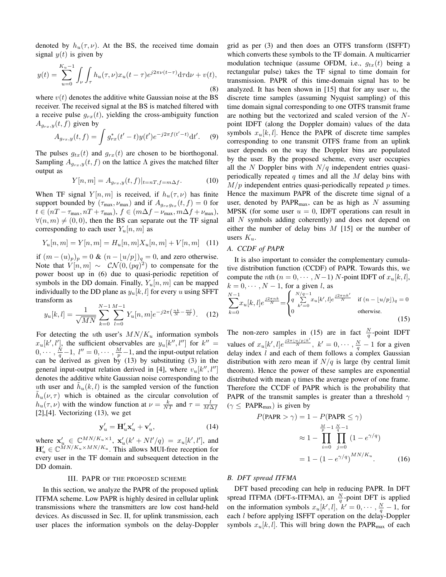denoted by  $h_u(\tau, \nu)$ . At the BS, the received time domain signal  $y(t)$  is given by

$$
y(t) = \sum_{u=0}^{K_u - 1} \int_{\nu} \int_{\tau} h_u(\tau, \nu) x_u(t - \tau) e^{j2\pi \nu (t - \tau)} d\tau d\nu + v(t),
$$
\n(8)

where  $v(t)$  denotes the additive white Gaussian noise at the BS receiver. The received signal at the BS is matched filtered with a receive pulse  $g_{rx}(t)$ , yielding the cross-ambiguity function  $A_{g_{rx},y}(t,f)$  given by

$$
A_{g_{rx},y}(t,f) = \int g_{rx}^*(t'-t)y(t')e^{-j2\pi f(t'-t)}dt'. \tag{9}
$$

The pulses  $g_{tx}(t)$  and  $g_{rx}(t)$  are chosen to be biorthogonal. Sampling  $A_{g_{rx},y}(t, f)$  on the lattice  $\Lambda$  gives the matched filter output as

$$
Y[n,m] = A_{g_{rx},y}(t,f)|_{t=nT,f=m\Delta f}.
$$
 (10)

When TF signal  $Y[n,m]$  is received, if  $h_u(\tau,\nu)$  has finite support bounded by  $(\tau_{\text{max}}, \nu_{\text{max}})$  and if  $A_{g_{rx}g_{tx}}(t, f) = 0$  for  $t \in (nT - \tau_{\text{max}}, nT + \tau_{\text{max}}), f \in (m\Delta f - \nu_{\text{max}}, m\Delta f + \nu_{\text{max}}),$  $\forall (n, m) \neq (0, 0)$ , then the BS can separate out the TF signal corresponding to each user  $Y_u[n,m]$  as

$$
Y_u[n,m] = Y[n,m] = H_u[n,m]X_u[n,m] + V[n,m]
$$
 (11)

if  $(m - (u)p)p = 0$  &  $(n − [u/p])q = 0$ , and zero otherwise. Note that  $V[n,m] \sim \mathcal{CN}(0,(pq)^2)$  to compensate for the power boost up in (6) due to quasi-periodic repetition of symbols in the DD domain. Finally, *Yu*[*n, m*] can be mapped individually to the DD plane as  $y_u[k, l]$  for every *u* using SFFT transform as

$$
y_u[k,l] = \frac{1}{\sqrt{MN}} \sum_{k=0}^{N-1} \sum_{l=0}^{M-1} Y_u[n,m] e^{-j2\pi \left(\frac{nk}{N} - \frac{ml}{M}\right)}.
$$
 (12)

For detecting the *u*th user's *MN/K<sup>u</sup>* information symbols *x*<sub>*u*</sub>[*k'*,*l'*], the sufficient observables are  $y_u[k'', l'']$  for  $k'' =$  $0, \cdots, \frac{N}{q} - 1$ ,  $l'' = 0, \cdots, \frac{M}{p} - 1$ , and the input-output relation can be derived as given by (13) by substituting (3) in the general input-output relation derived in [4], where  $v_u[k'', l'']$ denotes the additive white Gaussian noise corresponding to the wh user and  $\tilde{h}_u(k, l)$  is the sampled version of the function  $\tilde{h}_u(\nu, \tau)$  which is obtained as the circular convolution of *h*<sub>*u*</sub>( $\tau$ ,  $\nu$ ) with the window function at  $\nu = \frac{k}{NT}$  and  $\tau = \frac{l}{M\Delta f}$  $[2]$ , $[4]$ . Vectorizing  $(13)$ , we get

$$
\mathbf{y}'_u = \mathbf{H}'_u \mathbf{x}'_u + \mathbf{v}'_u,\tag{14}
$$

where  $\mathbf{x}'_u \in \mathbb{C}^{MN/K_u \times 1}$ ,  $\mathbf{x}'_u(k' + Nl'/q) = x_u[k', l']$ , and  $\mathbf{H}'_u \in \mathbb{C}^{MN/K_u \times MN/K_u}$ . This allows MUI-free reception for every user in the TF domain and subsequent detection in the DD domain.

#### III. PAPR OF THE PROPOSED SCHEME

In this section, we analyze the PAPR of the proposed uplink ITFMA scheme. Low PAPR is highly desired in cellular uplink transmissions where the transmitters are low cost hand-held devices. As discussed in Sec. II, for uplink transmission, each user places the information symbols on the delay-Doppler grid as per (3) and then does an OTFS transform (ISFFT) which converts these symbols to the TF domain. A multicarrier modulation technique (assume OFDM, i.e.,  $g_{tx}(t)$  being a rectangular pulse) takes the TF signal to time domain for transmission. PAPR of this time-domain signal has to be analyzed. It has been shown in [15] that for any user *u*, the discrete time samples (assuming Nyquist sampling) of this time domain signal corresponding to one OTFS transmit frame are nothing but the vectorized and scaled version of the *N*point IDFT (along the Doppler domain) values of the data symbols  $x<sub>u</sub>[k, l]$ . Hence the PAPR of discrete time samples corresponding to one transmit OTFS frame from an uplink user depends on the way the Doppler bins are populated by the user. By the proposed scheme, every user occupies all the *N* Doppler bins with *N/q* independent entries quasiperiodically repeated *q* times and all the *M* delay bins with *M/p* independent entries quasi-periodically repeated *p* times. Hence the maximum PAPR of the discrete time signal of a user, denoted by PAPR<sub>max</sub>, can be as high as *N* assuming MPSK (for some user  $u = 0$ , IDFT operations can result in all *N* symbols adding coherently) and does not depend on either the number of delay bins *M* [15] or the number of users  $K_u$ .

# *A. CCDF of PAPR*

It is also important to consider the complementary cumulative distribution function (CCDF) of PAPR. Towards this, we compute the *n*th ( $n = 0, \cdots, N-1$ ) *N*-point IDFT of  $x_u[k, l]$ ,  $k = 0, \dots, N - 1$ , for a given *l*, as

$$
\sum_{k=0}^{N-1} x_u[k, l] e^{\frac{j2\pi nk}{N}} = \begin{cases} q \sum_{k'=0}^{N/q-1} x_u[k', l] e^{\frac{j2\pi nk'}{N}} & \text{if } (n - \lfloor u/p \rfloor)_q = 0\\ 0 & \text{otherwise.} \end{cases}
$$
(15)

The non-zero samples in (15) are in fact  $\frac{N}{q}$ -point IDFT values of  $x_u[k',l]e^{\frac{j2\pi \lfloor u/p \rfloor k'}{N}}$ ,  $k'=0,\cdots,\frac{N}{q}-1$  for a given delay index  $\hat{l}$  and each of them follows a complex Gaussian distribution with zero mean if *N/q* is large (by central limit theorem). Hence the power of these samples are exponential distributed with mean *q* times the average power of one frame. Therefore the CCDF of PAPR which is the probability that PAPR of the transmit samples is greater than a threshold *γ*  $(\gamma \leq \text{PAPR}_{\text{max}})$  is given by

$$
P(\text{PAPR} > \gamma) = 1 - P(\text{PAPR} \le \gamma)
$$

$$
\approx 1 - \prod_{i=0}^{\frac{M}{p}-1} \prod_{j=0}^{\frac{N}{q}-1} (1 - e^{\gamma/q})
$$

$$
= 1 - (1 - e^{\gamma/q})^{MN/K_u}.
$$
(16)

### *B. DFT spread ITFMA*

DFT based precoding can help in reducing PAPR. In DFT spread ITFMA (DFT-s-ITFMA), an  $\frac{N}{q}$ -point DFT is applied on the information symbols  $x_u[k', l]$ ,  $k' = 0, \dots, \frac{N}{q} - 1$ , for each *l* before applying ISFFT operation on the delay-Doppler symbols  $x_u[k, l]$ . This will bring down the PAPR<sub>max</sub> of each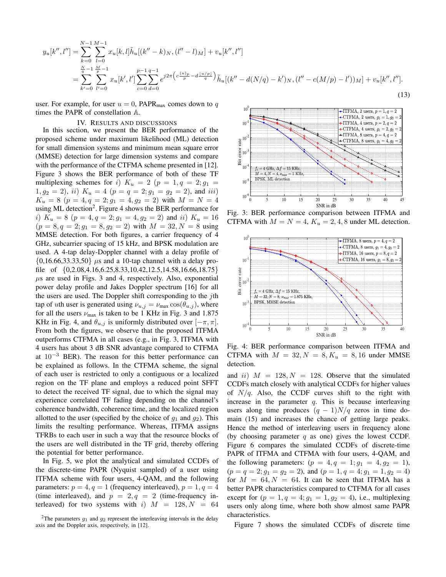$$
y_u[k'',l''] = \sum_{k=0}^{N-1} \sum_{l=0}^{M-1} x_u[k,l] \tilde{h}_u[(k''-k)_N, (l''-l)_M] + v_u[k'',l'']
$$
  
= 
$$
\sum_{k'=0}^{\frac{N}{q}-1} \sum_{l'=0}^{\frac{M}{p}-1} x_u[k',l'] \sum_{c=0}^{p-1} \sum_{d=0}^{q-1} e^{j2\pi \left(c\frac{(u)_p}{p}-d\frac{\lfloor u/p \rfloor}{q}\right)} \tilde{h}_u[(k''-d(N/q)-k')_N, (l''-c(M/p)-l'))_M] + v_u[k'',l''].
$$
\n(13)

user. For example, for user  $u = 0$ , PAPR<sub>max</sub> comes down to q times the PAPR of constellation A.

## IV. RESULTS AND DISCUSSIONS

In this section, we present the BER performance of the proposed scheme under maximum likelihood (ML) detection for small dimension systems and minimum mean square error (MMSE) detection for large dimension systems and compare with the performance of the CTFMA scheme presented in [12]. Figure 3 shows the BER performance of both of these TF multiplexing schemes for *i*)  $K_u = 2$  ( $p = 1, q = 2; g_1 = 1$  $1, g_2 = 2$ , *ii*)  $K_u = 4$  ( $p = q = 2; g_1 = g_2 = 2$ ), and *iii*)  $K_u = 8$   $(p = 4, q = 2; g_1 = 4, g_2 = 2)$  with  $M = N = 4$ using ML detection<sup>2</sup>. Figure 4 shows the BER performance for *i*)  $K_u = 8$   $(p = 4, q = 2; g_1 = 4, g_2 = 2)$  and *ii*)  $K_u = 16$  $(p = 8, q = 2; g_1 = 8, g_2 = 2)$  with  $M = 32, N = 8$  using MMSE detection. For both figures, a carrier frequency of 4 GHz, subcarrier spacing of 15 kHz, and BPSK modulation are used. A 4-tap delay-Doppler channel with a delay profile of *{*0,16.66,33.33,50*} µ*s and a 10-tap channel with a delay profile of *{*0,2.08,4.16,6.25,8.33,10.42,12.5,14.58,16.66,18.75*} µ*s are used in Figs. 3 and 4, respectively. Also, exponential power delay profile and Jakes Doppler spectrum [16] for all the users are used. The Doppler shift corresponding to the *j*th tap of *u*th user is generated using  $\nu_{u,j} = \nu_{\text{max}} \cos(\theta_{u,j})$ , where for all the users  $\nu_{\text{max}}$  is taken to be 1 KHz in Fig. 3 and 1.875 KHz in Fig. 4, and  $\theta_{u,j}$  is uniformly distributed over  $[-\pi, \pi]$ . From both the figures, we observe that the proposed ITFMA outperforms CTFMA in all cases (e.g., in Fig. 3, ITFMA with 4 users has about 3 dB SNR advantage compared to CTFMA at 10*−*<sup>3</sup> BER). The reason for this better performance can be explained as follows. In the CTFMA scheme, the signal of each user is restricted to only a contiguous or a localized region on the TF plane and employs a reduced point SFFT to detect the received TF signal, due to which the signal may experience correlated TF fading depending on the channel's coherence bandwidth, coherence time, and the localized region allotted to the user (specified by the choice of  $g_1$  and  $g_2$ ). This limits the resulting performance. Whereas, ITFMA assigns TFRBs to each user in such a way that the resource blocks of the users are well distributed in the TF grid, thereby offering the potential for better performance.

In Fig. 5, we plot the analytical and simulated CCDFs of the discrete-time PAPR (Nyquist sampled) of a user using ITFMA scheme with four users, 4-QAM, and the following parameters:  $p = 4$ ,  $q = 1$  (frequency interleaved),  $p = 1$ ,  $q = 4$ (time interleaved), and  $p = 2, q = 2$  (time-frequency interleaved) for two systems with  $i$ )  $M = 128, N = 64$ 



Fig. 3: BER performance comparison between ITFMA and CTFMA with  $M = N = 4$ ,  $K_u = 2, 4, 8$  under ML detection.



Fig. 4: BER performance comparison between ITFMA and CTFMA with  $M = 32, N = 8, K_u = 8, 16$  under MMSE detection.

and *ii*)  $M = 128$ ,  $N = 128$ . Observe that the simulated CCDFs match closely with analytical CCDFs for higher values of  $N/q$ . Also, the CCDF curves shift to the right with increase in the parameter *q*. This is because interleaving users along time produces  $(q - 1)N/q$  zeros in time domain (15) and increases the chance of getting large peaks. Hence the method of interleaving users in frequency alone (by choosing parameter *q* as one) gives the lowest CCDF. Figure 6 compares the simulated CCDFs of discrete-time PAPR of ITFMA and CTFMA with four users, 4-QAM, and the following parameters:  $(p = 4, q = 1; g_1 = 4, g_2 = 1)$ ,  $(p = q = 2; g_1 = g_2 = 2)$ , and  $(p = 1, q = 4; g_1 = 1, g_2 = 4)$ for  $M = 64, N = 64$ . It can be seen that ITFMA has a better PAPR characteristics compared to CTFMA for all cases except for  $(p = 1, q = 4; q_1 = 1, q_2 = 4)$ , i.e., multiplexing users only along time, where both show almost same PAPR characteristics.

Figure 7 shows the simulated CCDFs of discrete time

<sup>&</sup>lt;sup>2</sup>The parameters  $g_1$  and  $g_2$  represent the interleaving intervals in the delay axis and the Doppler axis, respectively, in [12].